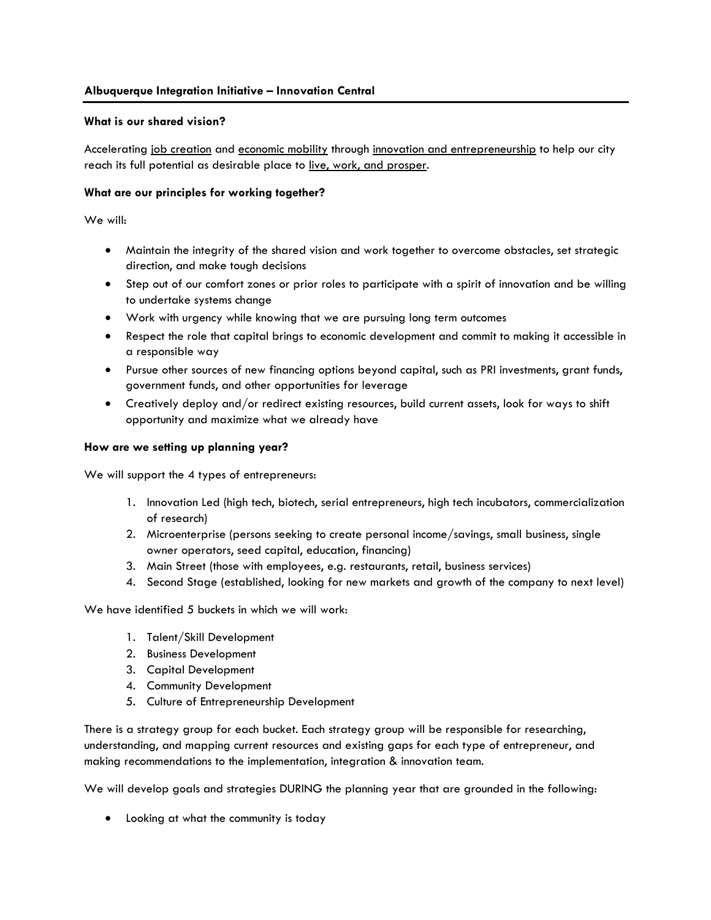## **What is our shared vision?**

Accelerating job creation and economic mobility through innovation and entrepreneurship to help our city reach its full potential as desirable place to live, work, and prosper.

## **What are our principles for working together?**

We will:

- Maintain the integrity of the shared vision and work together to overcome obstacles, set strategic direction, and make tough decisions
- Step out of our comfort zones or prior roles to participate with a spirit of innovation and be willing to undertake systems change
- Work with urgency while knowing that we are pursuing long term outcomes
- Respect the role that capital brings to economic development and commit to making it accessible in a responsible way
- Pursue other sources of new financing options beyond capital, such as PRI investments, grant funds, government funds, and other opportunities for leverage
- Creatively deploy and/or redirect existing resources, build current assets, look for ways to shift opportunity and maximize what we already have

## **How are we setting up planning year?**

We will support the 4 types of entrepreneurs:

- 1. Innovation Led (high tech, biotech, serial entrepreneurs, high tech incubators, commercialization of research)
- 2. Microenterprise (persons seeking to create personal income/savings, small business, single owner operators, seed capital, education, financing)
- 3. Main Street (those with employees, e.g. restaurants, retail, business services)
- 4. Second Stage (established, looking for new markets and growth of the company to next level)

We have identified 5 buckets in which we will work:

- 1. Talent/Skill Development
- 2. Business Development
- 3. Capital Development
- 4. Community Development
- 5. Culture of Entrepreneurship Development

There is a strategy group for each bucket. Each strategy group will be responsible for researching, understanding, and mapping current resources and existing gaps for each type of entrepreneur, and making recommendations to the implementation, integration & innovation team.

We will develop goals and strategies DURING the planning year that are grounded in the following:

• Looking at what the community is today